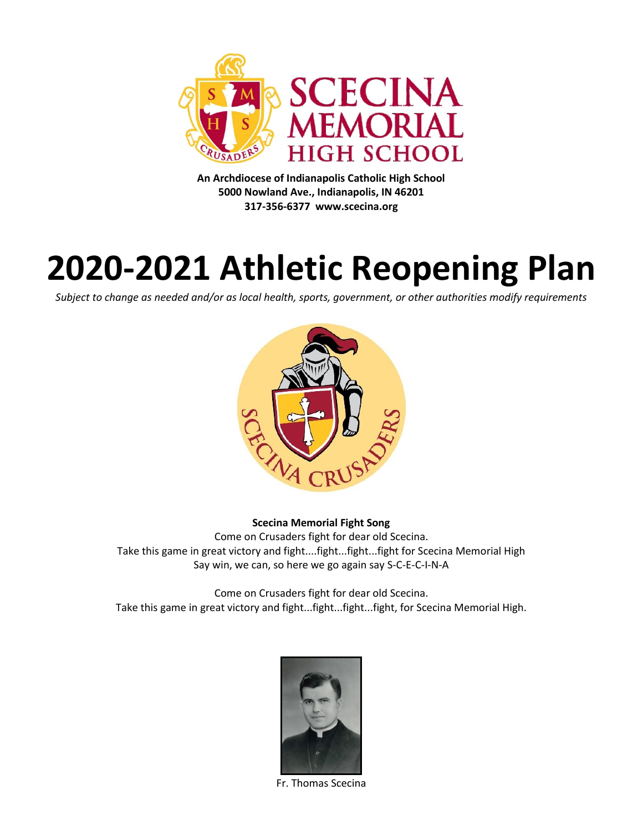

**An Archdiocese of Indianapolis Catholic High School 5000 Nowland Ave., Indianapolis, IN 46201 317-356-6377 www.scecina.org**

# **2020-2021 Athletic Reopening Plan**

*Subject to change as needed and/or as local health, sports, government, or other authorities modify requirements*



#### **Scecina Memorial Fight Song**

Come on Crusaders fight for dear old Scecina. Take this game in great victory and fight....fight...fight...fight for Scecina Memorial High Say win, we can, so here we go again say S-C-E-C-I-N-A

Come on Crusaders fight for dear old Scecina. Take this game in great victory and fight...fight...fight...fight, for Scecina Memorial High.



Fr. Thomas Scecina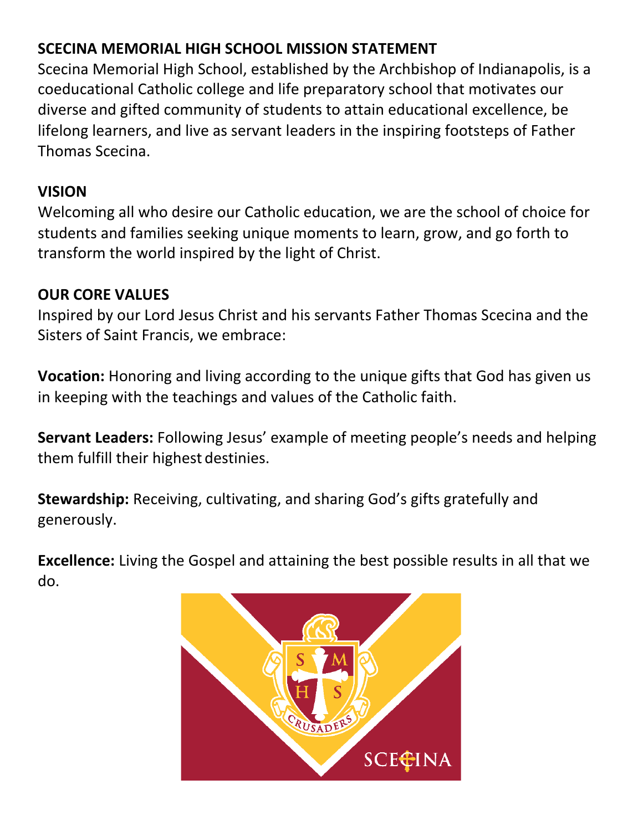## **SCECINA MEMORIAL HIGH SCHOOL MISSION STATEMENT**

Scecina Memorial High School, established by the Archbishop of Indianapolis, is a coeducational Catholic college and life preparatory school that motivates our diverse and gifted community of students to attain educational excellence, be lifelong learners, and live as servant leaders in the inspiring footsteps of Father Thomas Scecina.

### **VISION**

Welcoming all who desire our Catholic education, we are the school of choice for students and families seeking unique moments to learn, grow, and go forth to transform the world inspired by the light of Christ.

### **OUR CORE VALUES**

Inspired by our Lord Jesus Christ and his servants Father Thomas Scecina and the Sisters of Saint Francis, we embrace:

**Vocation:** Honoring and living according to the unique gifts that God has given us in keeping with the teachings and values of the Catholic faith.

**Servant Leaders:** Following Jesus' example of meeting people's needs and helping them fulfill their highest destinies.

**Stewardship:** Receiving, cultivating, and sharing God's gifts gratefully and generously.

**Excellence:** Living the Gospel and attaining the best possible results in all that we do.

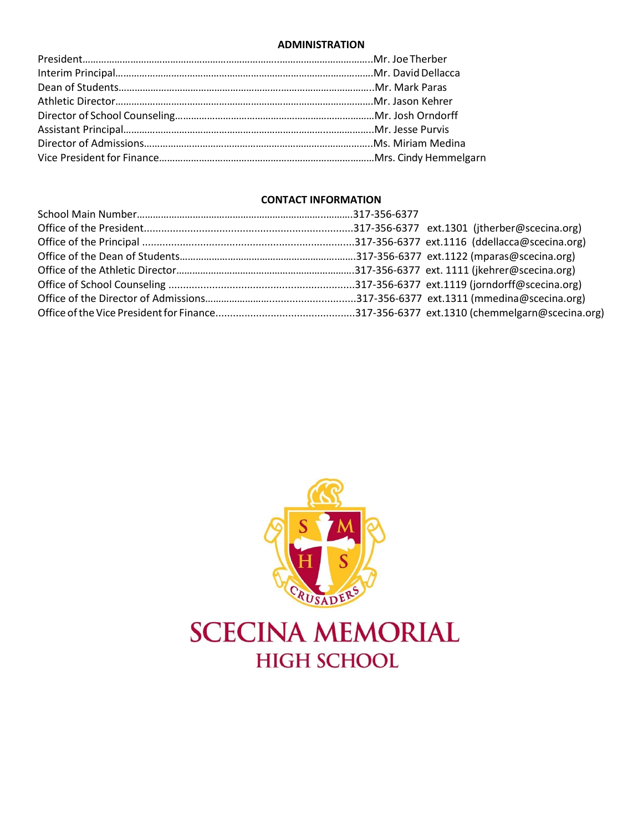#### **ADMINISTRATION**

#### **CONTACT INFORMATION**

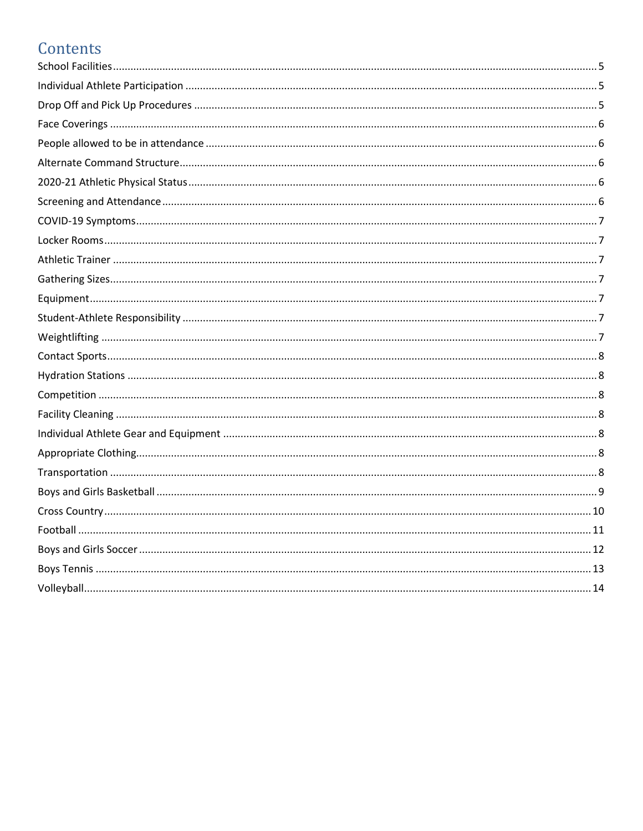# Contents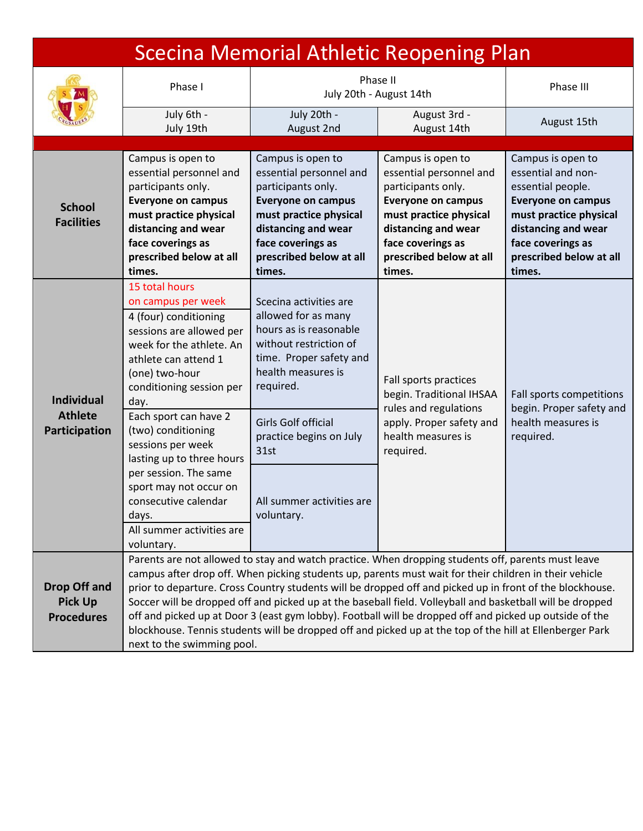<span id="page-4-2"></span><span id="page-4-1"></span><span id="page-4-0"></span>

| <b>Scecina Memorial Athletic Reopening Plan</b>            |                                                                                                                                                                                                                                                                                                                                                                                                                                                                                                                                                                                                                                                                                            |                                                                                                                                                                                                                          |                                                                                                                                                                                                            |                                                                                                                                                                                                      |
|------------------------------------------------------------|--------------------------------------------------------------------------------------------------------------------------------------------------------------------------------------------------------------------------------------------------------------------------------------------------------------------------------------------------------------------------------------------------------------------------------------------------------------------------------------------------------------------------------------------------------------------------------------------------------------------------------------------------------------------------------------------|--------------------------------------------------------------------------------------------------------------------------------------------------------------------------------------------------------------------------|------------------------------------------------------------------------------------------------------------------------------------------------------------------------------------------------------------|------------------------------------------------------------------------------------------------------------------------------------------------------------------------------------------------------|
| Phase I                                                    |                                                                                                                                                                                                                                                                                                                                                                                                                                                                                                                                                                                                                                                                                            |                                                                                                                                                                                                                          | Phase II<br>July 20th - August 14th                                                                                                                                                                        |                                                                                                                                                                                                      |
|                                                            | July 6th -<br>July 20th -<br>August 3rd -<br>July 19th<br>August 14th<br>August 2nd                                                                                                                                                                                                                                                                                                                                                                                                                                                                                                                                                                                                        |                                                                                                                                                                                                                          | August 15th                                                                                                                                                                                                |                                                                                                                                                                                                      |
|                                                            |                                                                                                                                                                                                                                                                                                                                                                                                                                                                                                                                                                                                                                                                                            |                                                                                                                                                                                                                          |                                                                                                                                                                                                            |                                                                                                                                                                                                      |
| <b>School</b><br><b>Facilities</b>                         | Campus is open to<br>essential personnel and<br>participants only.<br><b>Everyone on campus</b><br>must practice physical<br>distancing and wear<br>face coverings as<br>prescribed below at all<br>times.                                                                                                                                                                                                                                                                                                                                                                                                                                                                                 | Campus is open to<br>essential personnel and<br>participants only.<br><b>Everyone on campus</b><br>must practice physical<br>distancing and wear<br>face coverings as<br>prescribed below at all<br>times.               | Campus is open to<br>essential personnel and<br>participants only.<br><b>Everyone on campus</b><br>must practice physical<br>distancing and wear<br>face coverings as<br>prescribed below at all<br>times. | Campus is open to<br>essential and non-<br>essential people.<br><b>Everyone on campus</b><br>must practice physical<br>distancing and wear<br>face coverings as<br>prescribed below at all<br>times. |
| <b>Individual</b><br><b>Athlete</b><br>Participation       | 15 total hours<br>on campus per week<br>4 (four) conditioning<br>sessions are allowed per<br>week for the athlete. An<br>athlete can attend 1<br>(one) two-hour<br>conditioning session per<br>day.<br>Each sport can have 2<br>(two) conditioning<br>sessions per week                                                                                                                                                                                                                                                                                                                                                                                                                    | Scecina activities are<br>allowed for as many<br>hours as is reasonable<br>without restriction of<br>time. Proper safety and<br>health measures is<br>required.<br><b>Girls Golf official</b><br>practice begins on July | Fall sports practices<br>begin. Traditional IHSAA<br>rules and regulations<br>apply. Proper safety and<br>health measures is                                                                               | Fall sports competitions<br>begin. Proper safety and<br>health measures is<br>required.                                                                                                              |
|                                                            | lasting up to three hours<br>per session. The same<br>sport may not occur on<br>consecutive calendar<br>days.<br>All summer activities are<br>voluntary.                                                                                                                                                                                                                                                                                                                                                                                                                                                                                                                                   | 31st<br>All summer activities are<br>voluntary.                                                                                                                                                                          | required.                                                                                                                                                                                                  |                                                                                                                                                                                                      |
| <b>Drop Off and</b><br><b>Pick Up</b><br><b>Procedures</b> | Parents are not allowed to stay and watch practice. When dropping students off, parents must leave<br>campus after drop off. When picking students up, parents must wait for their children in their vehicle<br>prior to departure. Cross Country students will be dropped off and picked up in front of the blockhouse.<br>Soccer will be dropped off and picked up at the baseball field. Volleyball and basketball will be dropped<br>off and picked up at Door 3 (east gym lobby). Football will be dropped off and picked up outside of the<br>blockhouse. Tennis students will be dropped off and picked up at the top of the hill at Ellenberger Park<br>next to the swimming pool. |                                                                                                                                                                                                                          |                                                                                                                                                                                                            |                                                                                                                                                                                                      |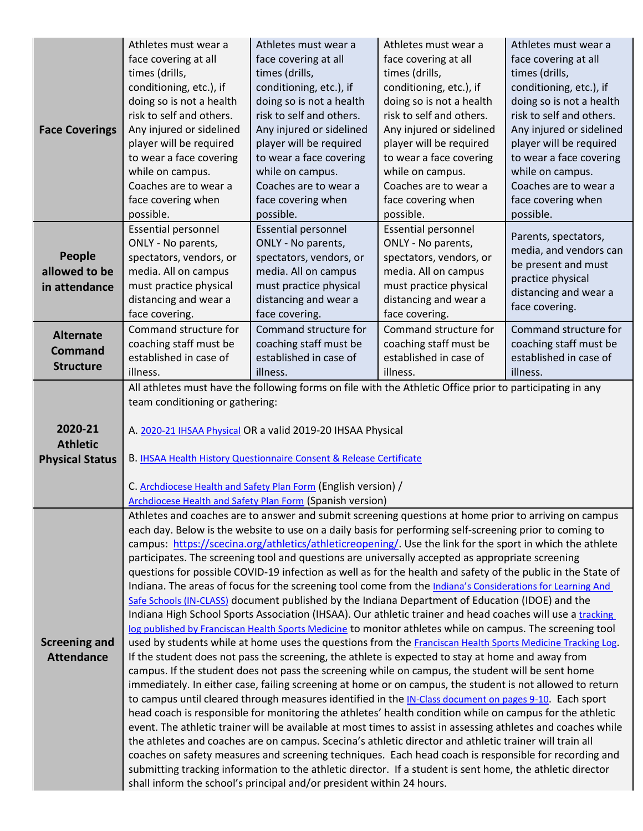<span id="page-5-4"></span><span id="page-5-3"></span><span id="page-5-2"></span><span id="page-5-1"></span><span id="page-5-0"></span>

|                        | Athletes must wear a            | Athletes must wear a                                                | Athletes must wear a                                                                                                                                                                                                     | Athletes must wear a     |  |
|------------------------|---------------------------------|---------------------------------------------------------------------|--------------------------------------------------------------------------------------------------------------------------------------------------------------------------------------------------------------------------|--------------------------|--|
|                        | face covering at all            | face covering at all                                                | face covering at all                                                                                                                                                                                                     | face covering at all     |  |
|                        | times (drills,                  | times (drills,                                                      | times (drills,                                                                                                                                                                                                           | times (drills,           |  |
|                        | conditioning, etc.), if         | conditioning, etc.), if                                             | conditioning, etc.), if                                                                                                                                                                                                  | conditioning, etc.), if  |  |
|                        | doing so is not a health        | doing so is not a health                                            | doing so is not a health                                                                                                                                                                                                 | doing so is not a health |  |
|                        | risk to self and others.        | risk to self and others.                                            | risk to self and others.                                                                                                                                                                                                 | risk to self and others. |  |
| <b>Face Coverings</b>  | Any injured or sidelined        | Any injured or sidelined                                            | Any injured or sidelined                                                                                                                                                                                                 | Any injured or sidelined |  |
|                        | player will be required         | player will be required                                             | player will be required                                                                                                                                                                                                  | player will be required  |  |
|                        | to wear a face covering         | to wear a face covering                                             | to wear a face covering                                                                                                                                                                                                  | to wear a face covering  |  |
|                        | while on campus.                | while on campus.                                                    | while on campus.                                                                                                                                                                                                         | while on campus.         |  |
|                        | Coaches are to wear a           | Coaches are to wear a                                               | Coaches are to wear a                                                                                                                                                                                                    | Coaches are to wear a    |  |
|                        | face covering when              | face covering when                                                  | face covering when                                                                                                                                                                                                       | face covering when       |  |
|                        | possible.                       | possible.                                                           | possible.                                                                                                                                                                                                                | possible.                |  |
|                        | <b>Essential personnel</b>      | <b>Essential personnel</b>                                          | <b>Essential personnel</b>                                                                                                                                                                                               | Parents, spectators,     |  |
|                        | ONLY - No parents,              | ONLY - No parents,                                                  | ONLY - No parents,                                                                                                                                                                                                       | media, and vendors can   |  |
| <b>People</b>          | spectators, vendors, or         | spectators, vendors, or                                             | spectators, vendors, or                                                                                                                                                                                                  | be present and must      |  |
| allowed to be          | media. All on campus            | media. All on campus                                                | media. All on campus                                                                                                                                                                                                     | practice physical        |  |
| in attendance          | must practice physical          | must practice physical                                              | must practice physical                                                                                                                                                                                                   | distancing and wear a    |  |
|                        | distancing and wear a           | distancing and wear a                                               | distancing and wear a                                                                                                                                                                                                    | face covering.           |  |
|                        | face covering.                  | face covering.                                                      | face covering.                                                                                                                                                                                                           |                          |  |
| <b>Alternate</b>       | Command structure for           | Command structure for                                               | Command structure for                                                                                                                                                                                                    | Command structure for    |  |
| <b>Command</b>         | coaching staff must be          | coaching staff must be                                              | coaching staff must be                                                                                                                                                                                                   | coaching staff must be   |  |
| <b>Structure</b>       | established in case of          | established in case of                                              | established in case of                                                                                                                                                                                                   | established in case of   |  |
|                        | illness.                        | illness.                                                            | illness.                                                                                                                                                                                                                 | illness.                 |  |
|                        |                                 |                                                                     | All athletes must have the following forms on file with the Athletic Office prior to participating in any                                                                                                                |                          |  |
|                        | team conditioning or gathering: |                                                                     |                                                                                                                                                                                                                          |                          |  |
|                        |                                 |                                                                     |                                                                                                                                                                                                                          |                          |  |
|                        |                                 |                                                                     |                                                                                                                                                                                                                          |                          |  |
| 2020-21                |                                 | A. 2020-21 IHSAA Physical OR a valid 2019-20 IHSAA Physical         |                                                                                                                                                                                                                          |                          |  |
| <b>Athletic</b>        |                                 |                                                                     |                                                                                                                                                                                                                          |                          |  |
| <b>Physical Status</b> |                                 | B. IHSAA Health History Questionnaire Consent & Release Certificate |                                                                                                                                                                                                                          |                          |  |
|                        |                                 | C. Archdiocese Health and Safety Plan Form (English version) /      |                                                                                                                                                                                                                          |                          |  |
|                        |                                 | Archdiocese Health and Safety Plan Form (Spanish version)           |                                                                                                                                                                                                                          |                          |  |
|                        |                                 |                                                                     | Athletes and coaches are to answer and submit screening questions at home prior to arriving on campus                                                                                                                    |                          |  |
|                        |                                 |                                                                     | each day. Below is the website to use on a daily basis for performing self-screening prior to coming to                                                                                                                  |                          |  |
|                        |                                 |                                                                     | campus: https://scecina.org/athletics/athleticreopening/. Use the link for the sport in which the athlete                                                                                                                |                          |  |
|                        |                                 |                                                                     | participates. The screening tool and questions are universally accepted as appropriate screening                                                                                                                         |                          |  |
|                        |                                 |                                                                     | questions for possible COVID-19 infection as well as for the health and safety of the public in the State of                                                                                                             |                          |  |
|                        |                                 |                                                                     | Indiana. The areas of focus for the screening tool come from the Indiana's Considerations for Learning And                                                                                                               |                          |  |
|                        |                                 |                                                                     | Safe Schools (IN-CLASS) document published by the Indiana Department of Education (IDOE) and the                                                                                                                         |                          |  |
|                        |                                 |                                                                     | Indiana High School Sports Association (IHSAA). Our athletic trainer and head coaches will use a tracking                                                                                                                |                          |  |
|                        |                                 |                                                                     | log published by Franciscan Health Sports Medicine to monitor athletes while on campus. The screening tool                                                                                                               |                          |  |
| <b>Screening and</b>   |                                 |                                                                     | used by students while at home uses the questions from the Franciscan Health Sports Medicine Tracking Log.                                                                                                               |                          |  |
| <b>Attendance</b>      |                                 |                                                                     | If the student does not pass the screening, the athlete is expected to stay at home and away from                                                                                                                        |                          |  |
|                        |                                 |                                                                     | campus. If the student does not pass the screening while on campus, the student will be sent home                                                                                                                        |                          |  |
|                        |                                 |                                                                     | immediately. In either case, failing screening at home or on campus, the student is not allowed to return                                                                                                                |                          |  |
|                        |                                 |                                                                     | to campus until cleared through measures identified in the IN-Class document on pages 9-10. Each sport                                                                                                                   |                          |  |
|                        |                                 |                                                                     | head coach is responsible for monitoring the athletes' health condition while on campus for the athletic                                                                                                                 |                          |  |
|                        |                                 |                                                                     | event. The athletic trainer will be available at most times to assist in assessing athletes and coaches while<br>the athletes and coaches are on campus. Scecina's athletic director and athletic trainer will train all |                          |  |
|                        |                                 |                                                                     | coaches on safety measures and screening techniques. Each head coach is responsible for recording and                                                                                                                    |                          |  |
|                        |                                 |                                                                     | submitting tracking information to the athletic director. If a student is sent home, the athletic director                                                                                                               |                          |  |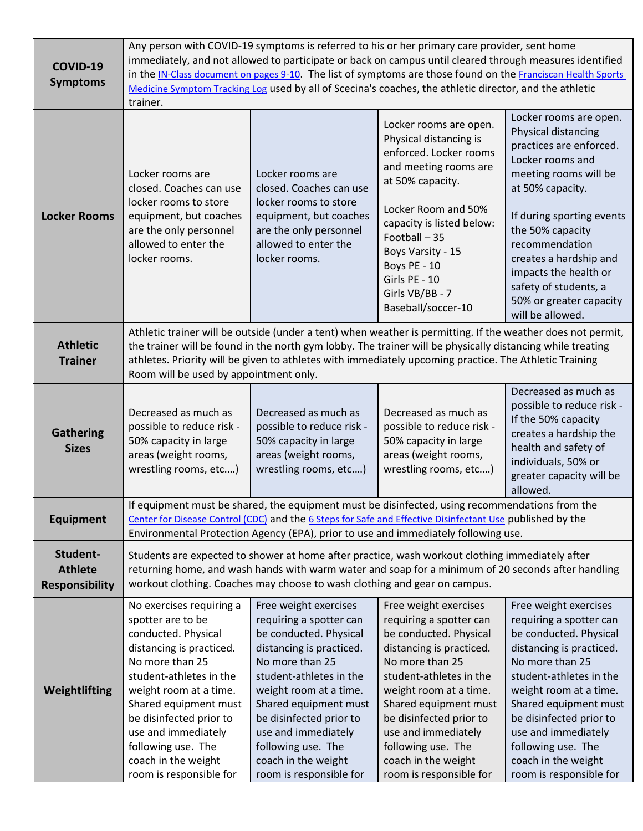<span id="page-6-6"></span><span id="page-6-5"></span><span id="page-6-4"></span><span id="page-6-3"></span><span id="page-6-2"></span><span id="page-6-1"></span><span id="page-6-0"></span>

| COVID-19<br><b>Symptoms</b>                         | Any person with COVID-19 symptoms is referred to his or her primary care provider, sent home<br>immediately, and not allowed to participate or back on campus until cleared through measures identified<br>in the IN-Class document on pages 9-10. The list of symptoms are those found on the Franciscan Health Sports<br>Medicine Symptom Tracking Log used by all of Scecina's coaches, the athletic director, and the athletic<br>trainer. |                                                                                                                                                                                                                                                                                                                                   |                                                                                                                                                                                                                                                                                                                                   |                                                                                                                                                                                                                                                                                                                                         |  |
|-----------------------------------------------------|------------------------------------------------------------------------------------------------------------------------------------------------------------------------------------------------------------------------------------------------------------------------------------------------------------------------------------------------------------------------------------------------------------------------------------------------|-----------------------------------------------------------------------------------------------------------------------------------------------------------------------------------------------------------------------------------------------------------------------------------------------------------------------------------|-----------------------------------------------------------------------------------------------------------------------------------------------------------------------------------------------------------------------------------------------------------------------------------------------------------------------------------|-----------------------------------------------------------------------------------------------------------------------------------------------------------------------------------------------------------------------------------------------------------------------------------------------------------------------------------------|--|
| <b>Locker Rooms</b>                                 | Locker rooms are<br>closed. Coaches can use<br>locker rooms to store<br>equipment, but coaches<br>are the only personnel<br>allowed to enter the<br>locker rooms.                                                                                                                                                                                                                                                                              | Locker rooms are<br>closed. Coaches can use<br>locker rooms to store<br>equipment, but coaches<br>are the only personnel<br>allowed to enter the<br>locker rooms.                                                                                                                                                                 | Locker rooms are open.<br>Physical distancing is<br>enforced. Locker rooms<br>and meeting rooms are<br>at 50% capacity.<br>Locker Room and 50%<br>capacity is listed below:<br>Football-35<br>Boys Varsity - 15<br>Boys PE - 10<br>Girls PE - 10<br>Girls VB/BB - 7<br>Baseball/soccer-10                                         | Locker rooms are open.<br>Physical distancing<br>practices are enforced.<br>Locker rooms and<br>meeting rooms will be<br>at 50% capacity.<br>If during sporting events<br>the 50% capacity<br>recommendation<br>creates a hardship and<br>impacts the health or<br>safety of students, a<br>50% or greater capacity<br>will be allowed. |  |
| <b>Athletic</b><br><b>Trainer</b>                   | Athletic trainer will be outside (under a tent) when weather is permitting. If the weather does not permit,<br>the trainer will be found in the north gym lobby. The trainer will be physically distancing while treating<br>athletes. Priority will be given to athletes with immediately upcoming practice. The Athletic Training<br>Room will be used by appointment only.                                                                  |                                                                                                                                                                                                                                                                                                                                   |                                                                                                                                                                                                                                                                                                                                   |                                                                                                                                                                                                                                                                                                                                         |  |
| <b>Gathering</b><br><b>Sizes</b>                    | Decreased as much as<br>possible to reduce risk -<br>50% capacity in large<br>areas (weight rooms,<br>wrestling rooms, etc)                                                                                                                                                                                                                                                                                                                    | Decreased as much as<br>possible to reduce risk -<br>50% capacity in large<br>areas (weight rooms,<br>wrestling rooms, etc)                                                                                                                                                                                                       | Decreased as much as<br>possible to reduce risk -<br>50% capacity in large<br>areas (weight rooms,<br>wrestling rooms, etc)                                                                                                                                                                                                       | Decreased as much as<br>possible to reduce risk -<br>If the 50% capacity<br>creates a hardship the<br>health and safety of<br>individuals, 50% or<br>greater capacity will be<br>allowed.                                                                                                                                               |  |
| <b>Equipment</b>                                    | If equipment must be shared, the equipment must be disinfected, using recommendations from the<br>Center for Disease Control (CDC) and the 6 Steps for Safe and Effective Disinfectant Use published by the<br>Environmental Protection Agency (EPA), prior to use and immediately following use.                                                                                                                                              |                                                                                                                                                                                                                                                                                                                                   |                                                                                                                                                                                                                                                                                                                                   |                                                                                                                                                                                                                                                                                                                                         |  |
| Student-<br><b>Athlete</b><br><b>Responsibility</b> | Students are expected to shower at home after practice, wash workout clothing immediately after<br>returning home, and wash hands with warm water and soap for a minimum of 20 seconds after handling<br>workout clothing. Coaches may choose to wash clothing and gear on campus.                                                                                                                                                             |                                                                                                                                                                                                                                                                                                                                   |                                                                                                                                                                                                                                                                                                                                   |                                                                                                                                                                                                                                                                                                                                         |  |
| Weightlifting                                       | No exercises requiring a<br>spotter are to be<br>conducted. Physical<br>distancing is practiced.<br>No more than 25<br>student-athletes in the<br>weight room at a time.<br>Shared equipment must<br>be disinfected prior to<br>use and immediately<br>following use. The<br>coach in the weight<br>room is responsible for                                                                                                                    | Free weight exercises<br>requiring a spotter can<br>be conducted. Physical<br>distancing is practiced.<br>No more than 25<br>student-athletes in the<br>weight room at a time.<br>Shared equipment must<br>be disinfected prior to<br>use and immediately<br>following use. The<br>coach in the weight<br>room is responsible for | Free weight exercises<br>requiring a spotter can<br>be conducted. Physical<br>distancing is practiced.<br>No more than 25<br>student-athletes in the<br>weight room at a time.<br>Shared equipment must<br>be disinfected prior to<br>use and immediately<br>following use. The<br>coach in the weight<br>room is responsible for | Free weight exercises<br>requiring a spotter can<br>be conducted. Physical<br>distancing is practiced.<br>No more than 25<br>student-athletes in the<br>weight room at a time.<br>Shared equipment must<br>be disinfected prior to<br>use and immediately<br>following use. The<br>coach in the weight<br>room is responsible for       |  |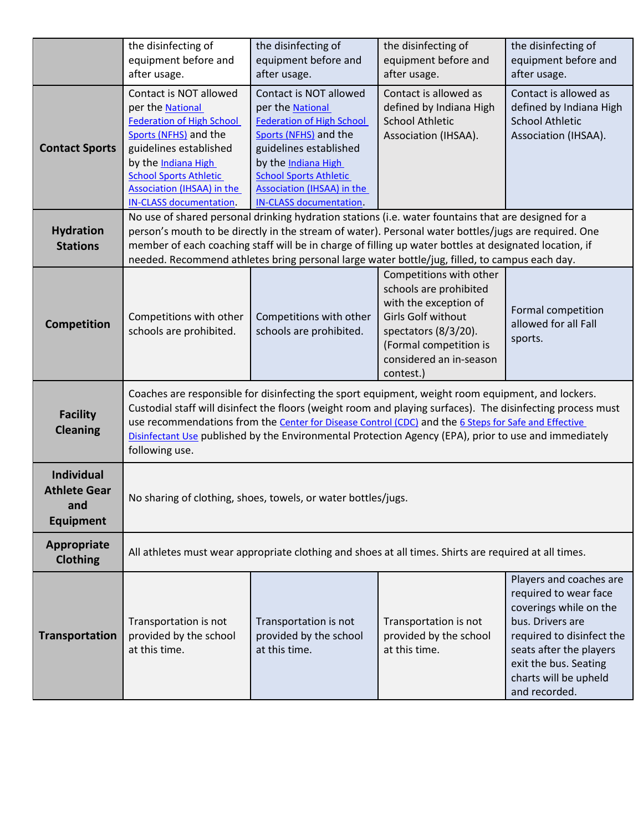<span id="page-7-6"></span><span id="page-7-5"></span><span id="page-7-4"></span><span id="page-7-3"></span><span id="page-7-2"></span><span id="page-7-1"></span><span id="page-7-0"></span>

|                                                              | the disinfecting of<br>equipment before and                                                                                                                                                                                                                                                                                                                                                                                                         | the disinfecting of<br>equipment before and                                                                                                                                                                                                                      | the disinfecting of<br>equipment before and                                                                                                                                                | the disinfecting of<br>equipment before and                                                                                                                                                                               |  |  |
|--------------------------------------------------------------|-----------------------------------------------------------------------------------------------------------------------------------------------------------------------------------------------------------------------------------------------------------------------------------------------------------------------------------------------------------------------------------------------------------------------------------------------------|------------------------------------------------------------------------------------------------------------------------------------------------------------------------------------------------------------------------------------------------------------------|--------------------------------------------------------------------------------------------------------------------------------------------------------------------------------------------|---------------------------------------------------------------------------------------------------------------------------------------------------------------------------------------------------------------------------|--|--|
|                                                              | after usage.                                                                                                                                                                                                                                                                                                                                                                                                                                        | after usage.                                                                                                                                                                                                                                                     | after usage.                                                                                                                                                                               | after usage.                                                                                                                                                                                                              |  |  |
| <b>Contact Sports</b>                                        | Contact is NOT allowed<br>per the National<br><b>Federation of High School</b><br>Sports (NFHS) and the<br>guidelines established<br>by the Indiana High<br><b>School Sports Athletic</b><br><b>Association (IHSAA) in the</b><br><b>IN-CLASS documentation.</b>                                                                                                                                                                                    | Contact is NOT allowed<br>per the National<br><b>Federation of High School</b><br>Sports (NFHS) and the<br>guidelines established<br>by the Indiana High<br><b>School Sports Athletic</b><br><b>Association (IHSAA) in the</b><br><b>IN-CLASS documentation.</b> | Contact is allowed as<br>defined by Indiana High<br><b>School Athletic</b><br>Association (IHSAA).                                                                                         | Contact is allowed as<br>defined by Indiana High<br><b>School Athletic</b><br>Association (IHSAA).                                                                                                                        |  |  |
| <b>Hydration</b><br><b>Stations</b>                          | No use of shared personal drinking hydration stations (i.e. water fountains that are designed for a<br>person's mouth to be directly in the stream of water). Personal water bottles/jugs are required. One<br>member of each coaching staff will be in charge of filling up water bottles at designated location, if<br>needed. Recommend athletes bring personal large water bottle/jug, filled, to campus each day.                              |                                                                                                                                                                                                                                                                  |                                                                                                                                                                                            |                                                                                                                                                                                                                           |  |  |
| <b>Competition</b>                                           | Competitions with other<br>schools are prohibited.                                                                                                                                                                                                                                                                                                                                                                                                  | Competitions with other<br>schools are prohibited.                                                                                                                                                                                                               | Competitions with other<br>schools are prohibited<br>with the exception of<br>Girls Golf without<br>spectators (8/3/20).<br>(Formal competition is<br>considered an in-season<br>contest.) | Formal competition<br>allowed for all Fall<br>sports.                                                                                                                                                                     |  |  |
| <b>Facility</b><br><b>Cleaning</b>                           | Coaches are responsible for disinfecting the sport equipment, weight room equipment, and lockers.<br>Custodial staff will disinfect the floors (weight room and playing surfaces). The disinfecting process must<br>use recommendations from the Center for Disease Control (CDC) and the 6 Steps for Safe and Effective<br>Disinfectant Use published by the Environmental Protection Agency (EPA), prior to use and immediately<br>following use. |                                                                                                                                                                                                                                                                  |                                                                                                                                                                                            |                                                                                                                                                                                                                           |  |  |
| Individual<br><b>Athlete Gear</b><br>and<br><b>Equipment</b> | No sharing of clothing, shoes, towels, or water bottles/jugs.                                                                                                                                                                                                                                                                                                                                                                                       |                                                                                                                                                                                                                                                                  |                                                                                                                                                                                            |                                                                                                                                                                                                                           |  |  |
| Appropriate<br><b>Clothing</b>                               | All athletes must wear appropriate clothing and shoes at all times. Shirts are required at all times.                                                                                                                                                                                                                                                                                                                                               |                                                                                                                                                                                                                                                                  |                                                                                                                                                                                            |                                                                                                                                                                                                                           |  |  |
| Transportation                                               | Transportation is not<br>provided by the school<br>at this time.                                                                                                                                                                                                                                                                                                                                                                                    | Transportation is not<br>provided by the school<br>at this time.                                                                                                                                                                                                 | Transportation is not<br>provided by the school<br>at this time.                                                                                                                           | Players and coaches are<br>required to wear face<br>coverings while on the<br>bus. Drivers are<br>required to disinfect the<br>seats after the players<br>exit the bus. Seating<br>charts will be upheld<br>and recorded. |  |  |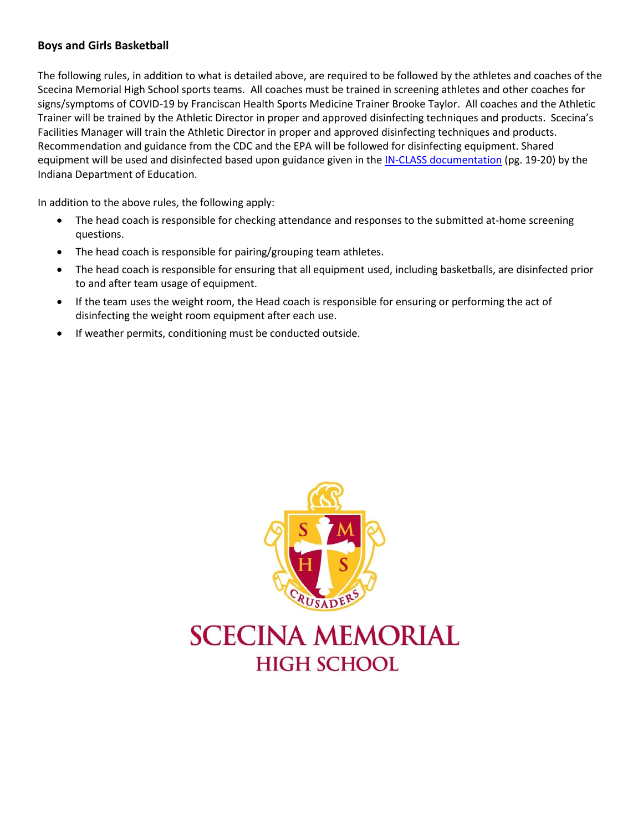#### <span id="page-8-0"></span>**Boys and Girls Basketball**

The following rules, in addition to what is detailed above, are required to be followed by the athletes and coaches of the Scecina Memorial High School sports teams. All coaches must be trained in screening athletes and other coaches for signs/symptoms of COVID-19 by Franciscan Health Sports Medicine Trainer Brooke Taylor. All coaches and the Athletic Trainer will be trained by the Athletic Director in proper and approved disinfecting techniques and products. Scecina's Facilities Manager will train the Athletic Director in proper and approved disinfecting techniques and products. Recommendation and guidance from the CDC and the EPA will be followed for disinfecting equipment. Shared equipment will be used and disinfected based upon guidance given in th[e IN-CLASS documentation](https://scecina-my.sharepoint.com/:b:/g/personal/ddellacca_scecina_org/Efhoo8Bk6GlBjGNjobvKo9IBnfE8HdoEjcMEso-CGi0Epw?e=ZBrje5) (pg. 19-20) by the Indiana Department of Education.

In addition to the above rules, the following apply:

- The head coach is responsible for checking attendance and responses to the submitted at-home screening questions.
- The head coach is responsible for pairing/grouping team athletes.
- The head coach is responsible for ensuring that all equipment used, including basketballs, are disinfected prior to and after team usage of equipment.
- If the team uses the weight room, the Head coach is responsible for ensuring or performing the act of disinfecting the weight room equipment after each use.
- If weather permits, conditioning must be conducted outside.

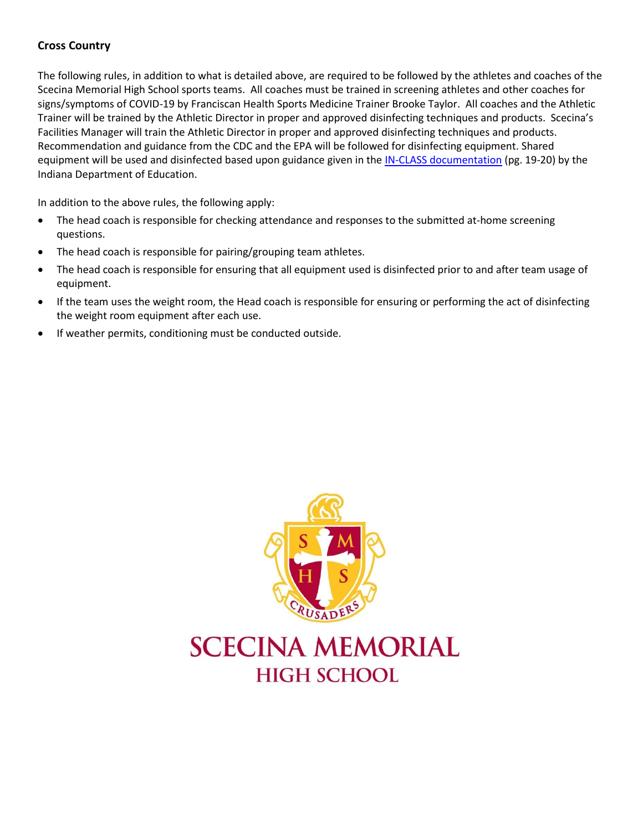#### <span id="page-9-0"></span>**Cross Country**

The following rules, in addition to what is detailed above, are required to be followed by the athletes and coaches of the Scecina Memorial High School sports teams. All coaches must be trained in screening athletes and other coaches for signs/symptoms of COVID-19 by Franciscan Health Sports Medicine Trainer Brooke Taylor. All coaches and the Athletic Trainer will be trained by the Athletic Director in proper and approved disinfecting techniques and products. Scecina's Facilities Manager will train the Athletic Director in proper and approved disinfecting techniques and products. Recommendation and guidance from the CDC and the EPA will be followed for disinfecting equipment. Shared equipment will be used and disinfected based upon guidance given in th[e IN-CLASS documentation](https://scecina-my.sharepoint.com/:b:/g/personal/ddellacca_scecina_org/Efhoo8Bk6GlBjGNjobvKo9IBnfE8HdoEjcMEso-CGi0Epw?e=ZBrje5) (pg. 19-20) by the Indiana Department of Education.

In addition to the above rules, the following apply:

- The head coach is responsible for checking attendance and responses to the submitted at-home screening questions.
- The head coach is responsible for pairing/grouping team athletes.
- The head coach is responsible for ensuring that all equipment used is disinfected prior to and after team usage of equipment.
- If the team uses the weight room, the Head coach is responsible for ensuring or performing the act of disinfecting the weight room equipment after each use.
- If weather permits, conditioning must be conducted outside.



# **SCECINA MEMORIAL HIGH SCHOOL**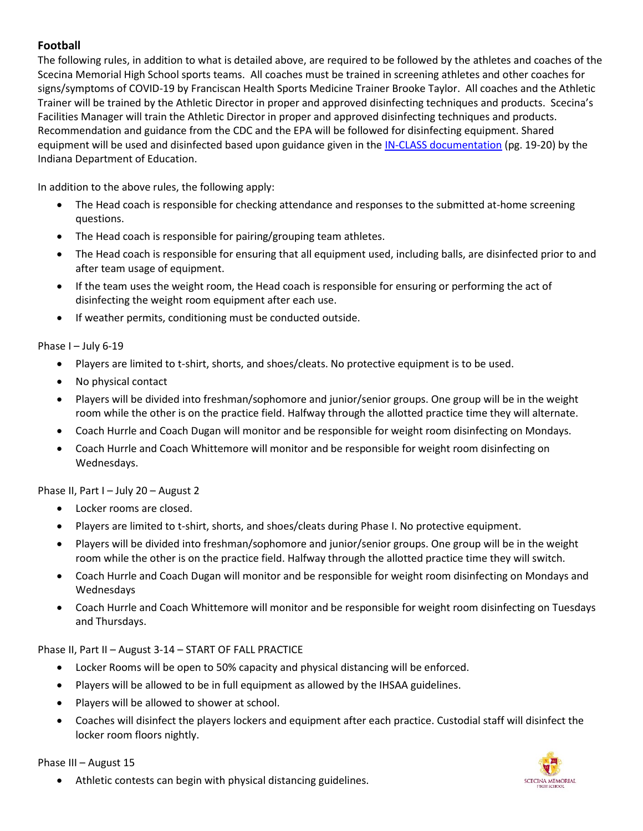#### <span id="page-10-0"></span>**Football**

The following rules, in addition to what is detailed above, are required to be followed by the athletes and coaches of the Scecina Memorial High School sports teams. All coaches must be trained in screening athletes and other coaches for signs/symptoms of COVID-19 by Franciscan Health Sports Medicine Trainer Brooke Taylor. All coaches and the Athletic Trainer will be trained by the Athletic Director in proper and approved disinfecting techniques and products. Scecina's Facilities Manager will train the Athletic Director in proper and approved disinfecting techniques and products. Recommendation and guidance from the CDC and the EPA will be followed for disinfecting equipment. Shared equipment will be used and disinfected based upon guidance given in th[e IN-CLASS documentation](https://scecina-my.sharepoint.com/:b:/g/personal/ddellacca_scecina_org/Efhoo8Bk6GlBjGNjobvKo9IBnfE8HdoEjcMEso-CGi0Epw?e=ZBrje5) (pg. 19-20) by the Indiana Department of Education.

In addition to the above rules, the following apply:

- The Head coach is responsible for checking attendance and responses to the submitted at-home screening questions.
- The Head coach is responsible for pairing/grouping team athletes.
- The Head coach is responsible for ensuring that all equipment used, including balls, are disinfected prior to and after team usage of equipment.
- If the team uses the weight room, the Head coach is responsible for ensuring or performing the act of disinfecting the weight room equipment after each use.
- If weather permits, conditioning must be conducted outside.

Phase I - July 6-19

- Players are limited to t-shirt, shorts, and shoes/cleats. No protective equipment is to be used.
- No physical contact
- Players will be divided into freshman/sophomore and junior/senior groups. One group will be in the weight room while the other is on the practice field. Halfway through the allotted practice time they will alternate.
- Coach Hurrle and Coach Dugan will monitor and be responsible for weight room disinfecting on Mondays.
- Coach Hurrle and Coach Whittemore will monitor and be responsible for weight room disinfecting on Wednesdays.

Phase II, Part I – July 20 – August 2

- Locker rooms are closed.
- Players are limited to t-shirt, shorts, and shoes/cleats during Phase I. No protective equipment.
- Players will be divided into freshman/sophomore and junior/senior groups. One group will be in the weight room while the other is on the practice field. Halfway through the allotted practice time they will switch.
- Coach Hurrle and Coach Dugan will monitor and be responsible for weight room disinfecting on Mondays and Wednesdays
- Coach Hurrle and Coach Whittemore will monitor and be responsible for weight room disinfecting on Tuesdays and Thursdays.

Phase II, Part II – August 3-14 – START OF FALL PRACTICE

- Locker Rooms will be open to 50% capacity and physical distancing will be enforced.
- Players will be allowed to be in full equipment as allowed by the IHSAA guidelines.
- Players will be allowed to shower at school.
- Coaches will disinfect the players lockers and equipment after each practice. Custodial staff will disinfect the locker room floors nightly.

Phase III – August 15

SCECINA MEMORIAL

• Athletic contests can begin with physical distancing guidelines.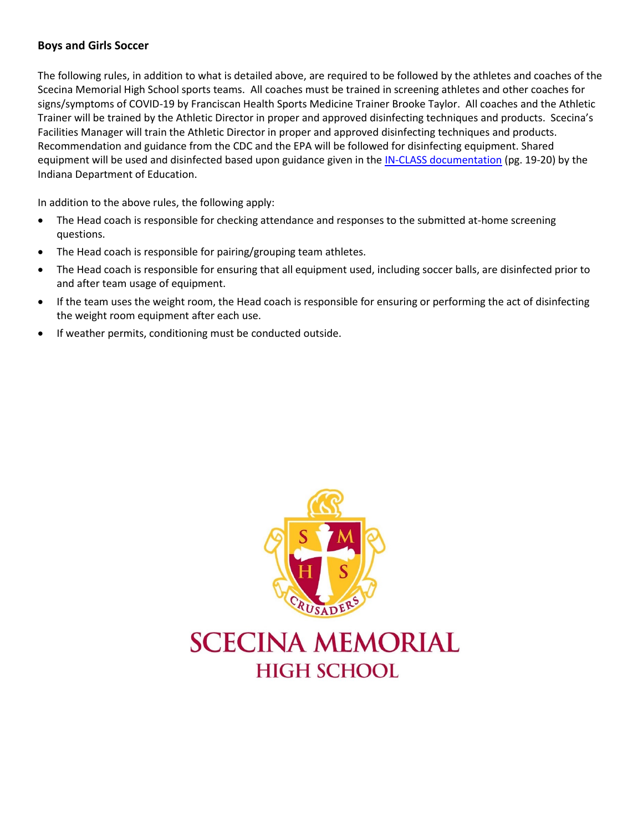#### <span id="page-11-0"></span>**Boys and Girls Soccer**

The following rules, in addition to what is detailed above, are required to be followed by the athletes and coaches of the Scecina Memorial High School sports teams. All coaches must be trained in screening athletes and other coaches for signs/symptoms of COVID-19 by Franciscan Health Sports Medicine Trainer Brooke Taylor. All coaches and the Athletic Trainer will be trained by the Athletic Director in proper and approved disinfecting techniques and products. Scecina's Facilities Manager will train the Athletic Director in proper and approved disinfecting techniques and products. Recommendation and guidance from the CDC and the EPA will be followed for disinfecting equipment. Shared equipment will be used and disinfected based upon guidance given in th[e IN-CLASS documentation](https://scecina-my.sharepoint.com/:b:/g/personal/ddellacca_scecina_org/Efhoo8Bk6GlBjGNjobvKo9IBnfE8HdoEjcMEso-CGi0Epw?e=ZBrje5) (pg. 19-20) by the Indiana Department of Education.

In addition to the above rules, the following apply:

- The Head coach is responsible for checking attendance and responses to the submitted at-home screening questions.
- The Head coach is responsible for pairing/grouping team athletes.
- The Head coach is responsible for ensuring that all equipment used, including soccer balls, are disinfected prior to and after team usage of equipment.
- If the team uses the weight room, the Head coach is responsible for ensuring or performing the act of disinfecting the weight room equipment after each use.
- If weather permits, conditioning must be conducted outside.



# **SCECINA MEMORIAL HIGH SCHOOL**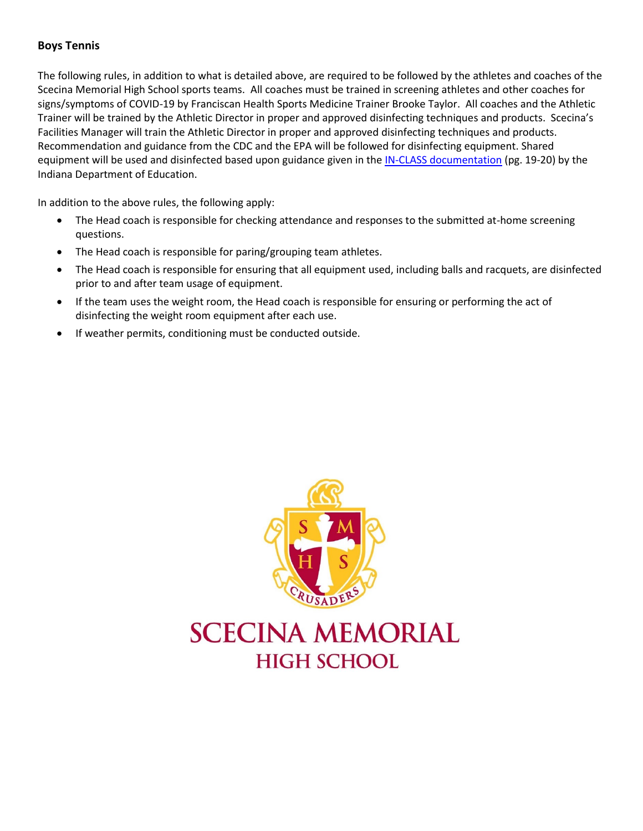#### <span id="page-12-0"></span>**Boys Tennis**

The following rules, in addition to what is detailed above, are required to be followed by the athletes and coaches of the Scecina Memorial High School sports teams. All coaches must be trained in screening athletes and other coaches for signs/symptoms of COVID-19 by Franciscan Health Sports Medicine Trainer Brooke Taylor. All coaches and the Athletic Trainer will be trained by the Athletic Director in proper and approved disinfecting techniques and products. Scecina's Facilities Manager will train the Athletic Director in proper and approved disinfecting techniques and products. Recommendation and guidance from the CDC and the EPA will be followed for disinfecting equipment. Shared equipment will be used and disinfected based upon guidance given in th[e IN-CLASS documentation](https://scecina-my.sharepoint.com/:b:/g/personal/ddellacca_scecina_org/Efhoo8Bk6GlBjGNjobvKo9IBnfE8HdoEjcMEso-CGi0Epw?e=ZBrje5) (pg. 19-20) by the Indiana Department of Education.

In addition to the above rules, the following apply:

- The Head coach is responsible for checking attendance and responses to the submitted at-home screening questions.
- The Head coach is responsible for paring/grouping team athletes.
- The Head coach is responsible for ensuring that all equipment used, including balls and racquets, are disinfected prior to and after team usage of equipment.
- If the team uses the weight room, the Head coach is responsible for ensuring or performing the act of disinfecting the weight room equipment after each use.
- If weather permits, conditioning must be conducted outside.